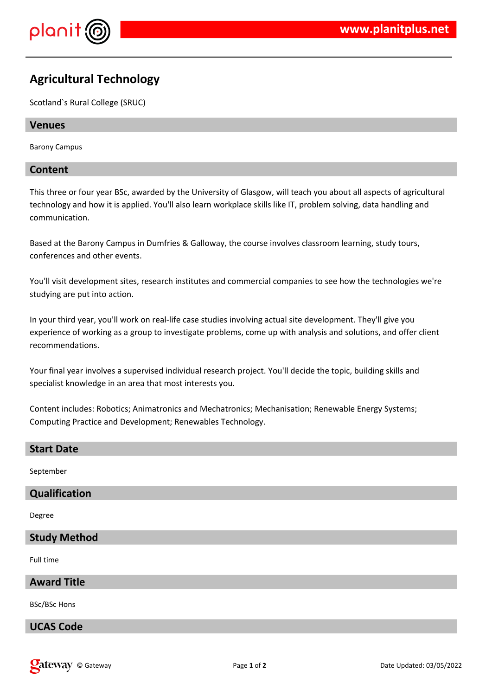

# **Agricultural Technology**

Scotland`s Rural College (SRUC)

### **Venues**

Barony Campus

### **Content**

This three or four year BSc, awarded by the University of Glasgow, will teach you about all aspects of agricultural technology and how it is applied. You'll also learn workplace skills like IT, problem solving, data handling and communication.

Based at the Barony Campus in Dumfries & Galloway, the course involves classroom learning, study tours, conferences and other events.

You'll visit development sites, research institutes and commercial companies to see how the technologies we're studying are put into action.

In your third year, you'll work on real-life case studies involving actual site development. They'll give you experience of working as a group to investigate problems, come up with analysis and solutions, and offer client recommendations.

Your final year involves a supervised individual research project. You'll decide the topic, building skills and specialist knowledge in an area that most interests you.

Content includes: Robotics; Animatronics and Mechatronics; Mechanisation; Renewable Energy Systems; Computing Practice and Development; Renewables Technology.

#### **Start Date**

September

# **Qualification**

Degree

### **Study Method**

Full time

## **Award Title**

BSc/BSc Hons

### **UCAS Code**